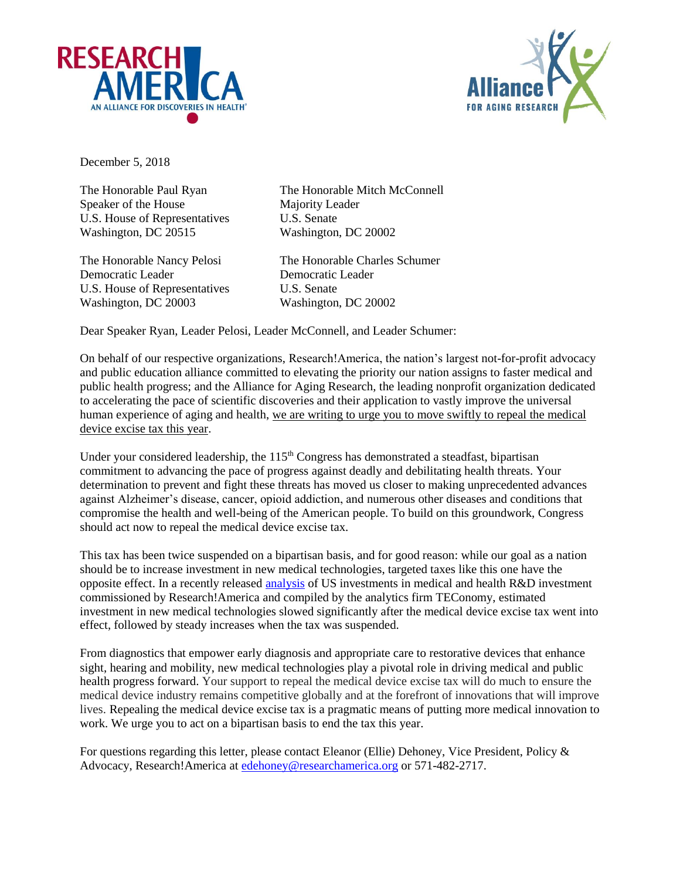



December 5, 2018

Speaker of the House Majority Leader U.S. House of Representatives U.S. Senate Washington, DC 20515 Washington, DC 20002

Democratic Leader Democratic Leader U.S. House of Representatives U.S. Senate Washington, DC 20003 Washington, DC 20002

The Honorable Paul Ryan The Honorable Mitch McConnell

The Honorable Nancy Pelosi The Honorable Charles Schumer

Dear Speaker Ryan, Leader Pelosi, Leader McConnell, and Leader Schumer:

On behalf of our respective organizations, Research!America, the nation's largest not-for-profit advocacy and public education alliance committed to elevating the priority our nation assigns to faster medical and public health progress; and the Alliance for Aging Research, the leading nonprofit organization dedicated to accelerating the pace of scientific discoveries and their application to vastly improve the universal human experience of aging and health, we are writing to urge you to move swiftly to repeal the medical device excise tax this year.

Under your considered leadership, the 115<sup>th</sup> Congress has demonstrated a steadfast, bipartisan commitment to advancing the pace of progress against deadly and debilitating health threats. Your determination to prevent and fight these threats has moved us closer to making unprecedented advances against Alzheimer's disease, cancer, opioid addiction, and numerous other diseases and conditions that compromise the health and well-being of the American people. To build on this groundwork, Congress should act now to repeal the medical device excise tax.

This tax has been twice suspended on a bipartisan basis, and for good reason: while our goal as a nation should be to increase investment in new medical technologies, targeted taxes like this one have the opposite effect. In a recently released [analysis](https://www.researchamerica.org/sites/default/files/Policy_Advocacy/2013-2017InvestmentReportFall2018.pdf) of US investments in medical and health R&D investment commissioned by Research!America and compiled by the analytics firm TEConomy, estimated investment in new medical technologies slowed significantly after the medical device excise tax went into effect, followed by steady increases when the tax was suspended.

From diagnostics that empower early diagnosis and appropriate care to restorative devices that enhance sight, hearing and mobility, new medical technologies play a pivotal role in driving medical and public health progress forward. Your support to repeal the medical device excise tax will do much to ensure the medical device industry remains competitive globally and at the forefront of innovations that will improve lives. Repealing the medical device excise tax is a pragmatic means of putting more medical innovation to work. We urge you to act on a bipartisan basis to end the tax this year.

For questions regarding this letter, please contact Eleanor (Ellie) Dehoney, Vice President, Policy & Advocacy, Research!America at [edehoney@researchamerica.org](mailto:edehoney@researchamerica.org) or 571-482-2717.